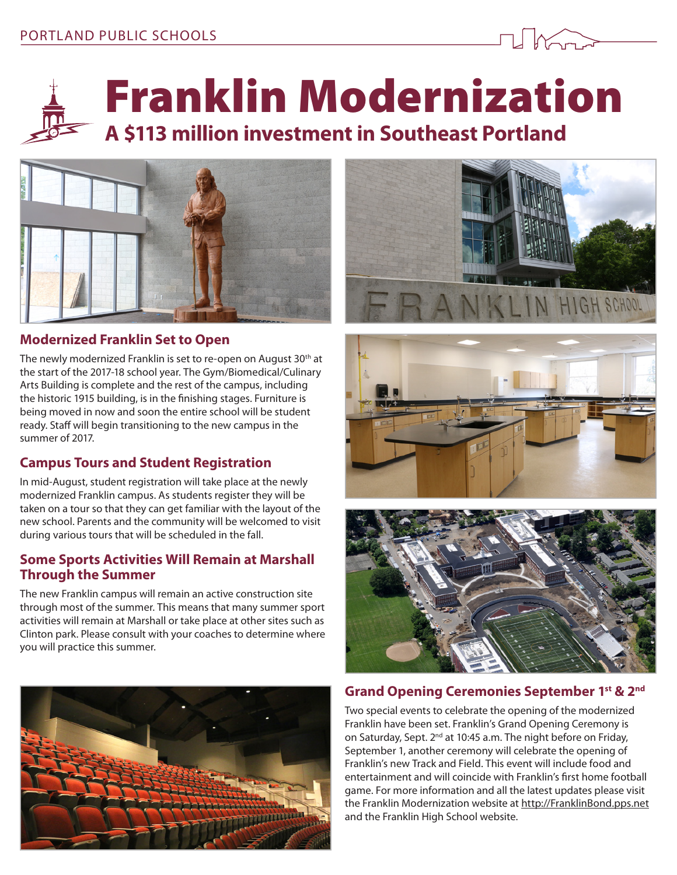



Franklin Modernization

# **A \$113 million investment in Southeast Portland**



# **Modernized Franklin Set to Open**

The newly modernized Franklin is set to re-open on August 30<sup>th</sup> at the start of the 2017-18 school year. The Gym/Biomedical/Culinary Arts Building is complete and the rest of the campus, including the historic 1915 building, is in the finishing stages. Furniture is being moved in now and soon the entire school will be student ready. Staff will begin transitioning to the new campus in the summer of 2017.

### **Campus Tours and Student Registration**

In mid-August, student registration will take place at the newly modernized Franklin campus. As students register they will be taken on a tour so that they can get familiar with the layout of the new school. Parents and the community will be welcomed to visit during various tours that will be scheduled in the fall.

#### **Some Sports Activities Will Remain at Marshall Through the Summer**

The new Franklin campus will remain an active construction site through most of the summer. This means that many summer sport activities will remain at Marshall or take place at other sites such as Clinton park. Please consult with your coaches to determine where you will practice this summer.









#### **Grand Opening Ceremonies September 1st & 2nd**

Two special events to celebrate the opening of the modernized Franklin have been set. Franklin's Grand Opening Ceremony is on Saturday, Sept. 2<sup>nd</sup> at 10:45 a.m. The night before on Friday, September 1, another ceremony will celebrate the opening of Franklin's new Track and Field. This event will include food and entertainment and will coincide with Franklin's first home football game. For more information and all the latest updates please visit the Franklin Modernization website at <http://FranklinBond.pps.net> and the Franklin High School website.